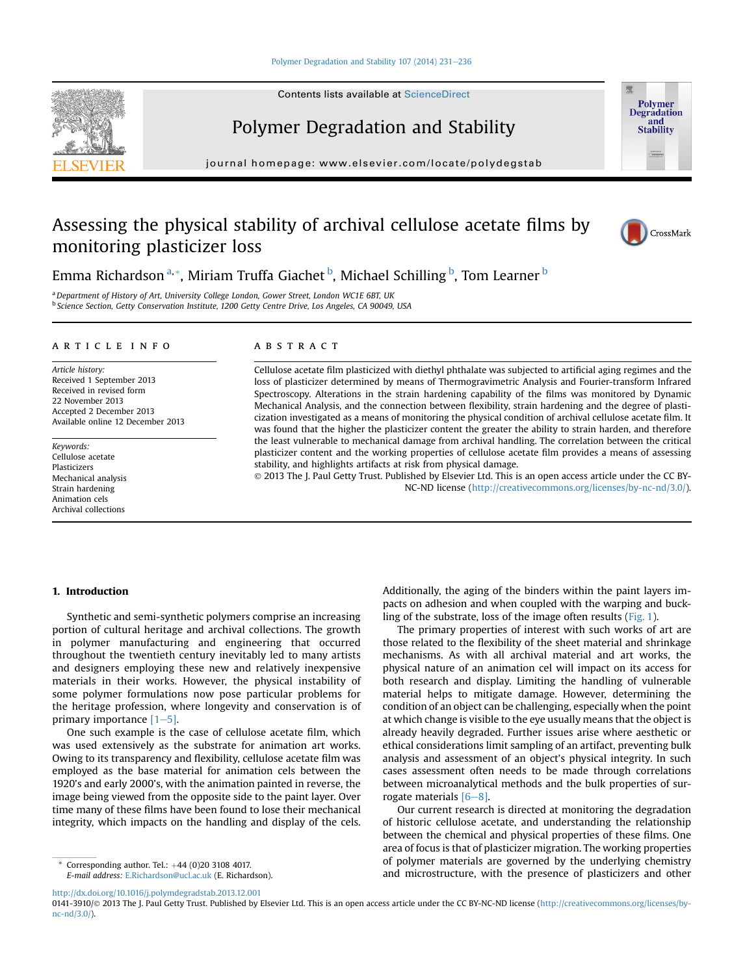#### [Polymer Degradation and Stability 107 \(2014\) 231](http://dx.doi.org/10.1016/j.polymdegradstab.2013.12.001)-[236](http://dx.doi.org/10.1016/j.polymdegradstab.2013.12.001)

Contents lists available at [ScienceDirect](www.sciencedirect.com/science/journal/01413910)

Polymer Degradation and Stability

journal homepage: [www.elsevier.com/locate/polydegstab](http://www.elsevier.com/locate/polydegstab)

# Assessing the physical stability of archival cellulose acetate films by monitoring plasticizer loss



Polymer **Degradation** and Stability

Emma Richardson <sup>a, \*</sup>, Miriam Truffa Giachet <sup>b</sup>, Michael Schilling <sup>b</sup>, Tom Learner <sup>b</sup>

<sup>a</sup> Department of History of Art, University College London, Gower Street, London WC1E 6BT, UK b Science Section, Getty Conservation Institute, 1200 Getty Centre Drive, Los Angeles, CA 90049, USA

#### article info

Article history: Received 1 September 2013 Received in revised form 22 November 2013 Accepted 2 December 2013 Available online 12 December 2013

Keywords: Cellulose acetate Plasticizers Mechanical analysis Strain hardening Animation cels Archival collections

# ABSTRACT

Cellulose acetate film plasticized with diethyl phthalate was subjected to artificial aging regimes and the loss of plasticizer determined by means of Thermogravimetric Analysis and Fourier-transform Infrared Spectroscopy. Alterations in the strain hardening capability of the films was monitored by Dynamic Mechanical Analysis, and the connection between flexibility, strain hardening and the degree of plasticization investigated as a means of monitoring the physical condition of archival cellulose acetate film. It was found that the higher the plasticizer content the greater the ability to strain harden, and therefore the least vulnerable to mechanical damage from archival handling. The correlation between the critical plasticizer content and the working properties of cellulose acetate film provides a means of assessing stability, and highlights artifacts at risk from physical damage.

 2013 The J. Paul Getty Trust. Published by Elsevier Ltd. This is an open access article under the CC BY-NC-ND license [\(http://creativecommons.org/licenses/by-nc-nd/3.0/](http://creativecommons.org/licenses/by-nc-nd/3.0/)).

# 1. Introduction

Synthetic and semi-synthetic polymers comprise an increasing portion of cultural heritage and archival collections. The growth in polymer manufacturing and engineering that occurred throughout the twentieth century inevitably led to many artists and designers employing these new and relatively inexpensive materials in their works. However, the physical instability of some polymer formulations now pose particular problems for the heritage profession, where longevity and conservation is of primary importance  $[1-5]$  $[1-5]$ .

One such example is the case of cellulose acetate film, which was used extensively as the substrate for animation art works. Owing to its transparency and flexibility, cellulose acetate film was employed as the base material for animation cels between the 1920's and early 2000's, with the animation painted in reverse, the image being viewed from the opposite side to the paint layer. Over time many of these films have been found to lose their mechanical integrity, which impacts on the handling and display of the cels.

Corresponding author. Tel.:  $+44$  (0)20 3108 4017. E-mail address: [E.Richardson@ucl.ac.uk](mailto:E.Richardson@ucl.ac.uk) (E. Richardson). Additionally, the aging of the binders within the paint layers impacts on adhesion and when coupled with the warping and buckling of the substrate, loss of the image often results ([Fig. 1](#page-1-0)).

The primary properties of interest with such works of art are those related to the flexibility of the sheet material and shrinkage mechanisms. As with all archival material and art works, the physical nature of an animation cel will impact on its access for both research and display. Limiting the handling of vulnerable material helps to mitigate damage. However, determining the condition of an object can be challenging, especially when the point at which change is visible to the eye usually means that the object is already heavily degraded. Further issues arise where aesthetic or ethical considerations limit sampling of an artifact, preventing bulk analysis and assessment of an object's physical integrity. In such cases assessment often needs to be made through correlations between microanalytical methods and the bulk properties of surrogate materials  $[6-8]$  $[6-8]$  $[6-8]$ .

Our current research is directed at monitoring the degradation of historic cellulose acetate, and understanding the relationship between the chemical and physical properties of these films. One area of focus is that of plasticizer migration. The working properties of polymer materials are governed by the underlying chemistry and microstructure, with the presence of plasticizers and other

0141-3910/@ 2013 The J. Paul Getty Trust. Published by Elsevier Ltd. This is an open access article under the CC BY-NC-ND license ([http://creativecommons.org/licenses/by](http://creativecommons.org/licenses/by-nc-nd/3.0/)[nc-nd/3.0/\)](http://creativecommons.org/licenses/by-nc-nd/3.0/).



<http://dx.doi.org/10.1016/j.polymdegradstab.2013.12.001>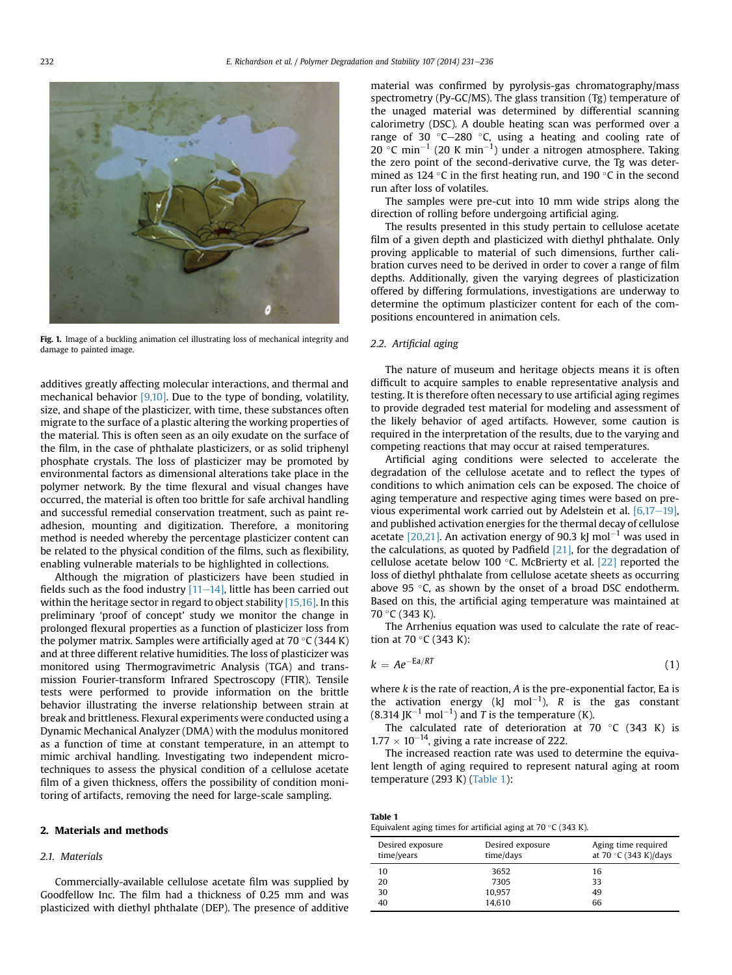<span id="page-1-0"></span>

Fig. 1. Image of a buckling animation cel illustrating loss of mechanical integrity and damage to painted image.

additives greatly affecting molecular interactions, and thermal and mechanical behavior [\[9,10\]](#page-5-0). Due to the type of bonding, volatility, size, and shape of the plasticizer, with time, these substances often migrate to the surface of a plastic altering the working properties of the material. This is often seen as an oily exudate on the surface of the film, in the case of phthalate plasticizers, or as solid triphenyl phosphate crystals. The loss of plasticizer may be promoted by environmental factors as dimensional alterations take place in the polymer network. By the time flexural and visual changes have occurred, the material is often too brittle for safe archival handling and successful remedial conservation treatment, such as paint readhesion, mounting and digitization. Therefore, a monitoring method is needed whereby the percentage plasticizer content can be related to the physical condition of the films, such as flexibility, enabling vulnerable materials to be highlighted in collections.

Although the migration of plasticizers have been studied in fields such as the food industry  $[11-14]$  $[11-14]$  $[11-14]$ , little has been carried out within the heritage sector in regard to object stability  $[15,16]$ . In this preliminary 'proof of concept' study we monitor the change in prolonged flexural properties as a function of plasticizer loss from the polymer matrix. Samples were artificially aged at  $70\,^{\circ}$ C (344 K) and at three different relative humidities. The loss of plasticizer was monitored using Thermogravimetric Analysis (TGA) and transmission Fourier-transform Infrared Spectroscopy (FTIR). Tensile tests were performed to provide information on the brittle behavior illustrating the inverse relationship between strain at break and brittleness. Flexural experiments were conducted using a Dynamic Mechanical Analyzer (DMA) with the modulus monitored as a function of time at constant temperature, in an attempt to mimic archival handling. Investigating two independent microtechniques to assess the physical condition of a cellulose acetate film of a given thickness, offers the possibility of condition monitoring of artifacts, removing the need for large-scale sampling.

#### 2. Materials and methods

# 2.1. Materials

Commercially-available cellulose acetate film was supplied by Goodfellow Inc. The film had a thickness of 0.25 mm and was plasticized with diethyl phthalate (DEP). The presence of additive material was confirmed by pyrolysis-gas chromatography/mass spectrometry (Py-GC/MS). The glass transition (Tg) temperature of the unaged material was determined by differential scanning calorimetry (DSC). A double heating scan was performed over a range of 30  $\degree$ C $-$ 280  $\degree$ C, using a heating and cooling rate of 20 °C min<sup>-1</sup> (20 K min<sup>-1</sup>) under a nitrogen atmosphere. Taking the zero point of the second-derivative curve, the Tg was determined as 124 °C in the first heating run, and 190 °C in the second run after loss of volatiles.

The samples were pre-cut into 10 mm wide strips along the direction of rolling before undergoing artificial aging.

The results presented in this study pertain to cellulose acetate film of a given depth and plasticized with diethyl phthalate. Only proving applicable to material of such dimensions, further calibration curves need to be derived in order to cover a range of film depths. Additionally, given the varying degrees of plasticization offered by differing formulations, investigations are underway to determine the optimum plasticizer content for each of the compositions encountered in animation cels.

# 2.2. Artificial aging

The nature of museum and heritage objects means it is often difficult to acquire samples to enable representative analysis and testing. It is therefore often necessary to use artificial aging regimes to provide degraded test material for modeling and assessment of the likely behavior of aged artifacts. However, some caution is required in the interpretation of the results, due to the varying and competing reactions that may occur at raised temperatures.

Artificial aging conditions were selected to accelerate the degradation of the cellulose acetate and to reflect the types of conditions to which animation cels can be exposed. The choice of aging temperature and respective aging times were based on previous experimental work carried out by Adelstein et al.  $[6,17-19]$  $[6,17-19]$ , and published activation energies for the thermal decay of cellulose acetate  $[20,21]$ . An activation energy of 90.3 kJ mol<sup>-1</sup> was used in the calculations, as quoted by Padfield  $[21]$ , for the degradation of cellulose acetate below 100  $\degree$ C. McBrierty et al. [\[22\]](#page-5-0) reported the loss of diethyl phthalate from cellulose acetate sheets as occurring above 95  $\degree$ C, as shown by the onset of a broad DSC endotherm. Based on this, the artificial aging temperature was maintained at 70 °C (343 K).

The Arrhenius equation was used to calculate the rate of reaction at 70  $\degree$ C (343 K):

$$
k = Ae^{-Ea/RT}
$$
 (1)

where  $k$  is the rate of reaction,  $A$  is the pre-exponential factor, Ea is the activation energy (kJ mol<sup>-1</sup>), R is the gas constant (8.314 JK<sup>-1</sup> mol<sup>-1</sup>) and T is the temperature (K).

The calculated rate of deterioration at 70  $\degree$ C (343 K) is  $1.77 \times 10^{-14}$ , giving a rate increase of 222.

The increased reaction rate was used to determine the equivalent length of aging required to represent natural aging at room temperature (293 K) (Table 1):

| iavit i                                                               |
|-----------------------------------------------------------------------|
| Equivalent aging times for artificial aging at $70\degree$ C (343 K). |

Table 1

| Desired exposure<br>time/years | Desired exposure<br>time/days | Aging time required<br>at 70 $\degree$ C (343 K)/days |
|--------------------------------|-------------------------------|-------------------------------------------------------|
| 10                             | 3652                          | 16                                                    |
| 20                             | 7305                          | 33                                                    |
| 30                             | 10,957                        | 49                                                    |
| 40                             | 14,610                        | 66                                                    |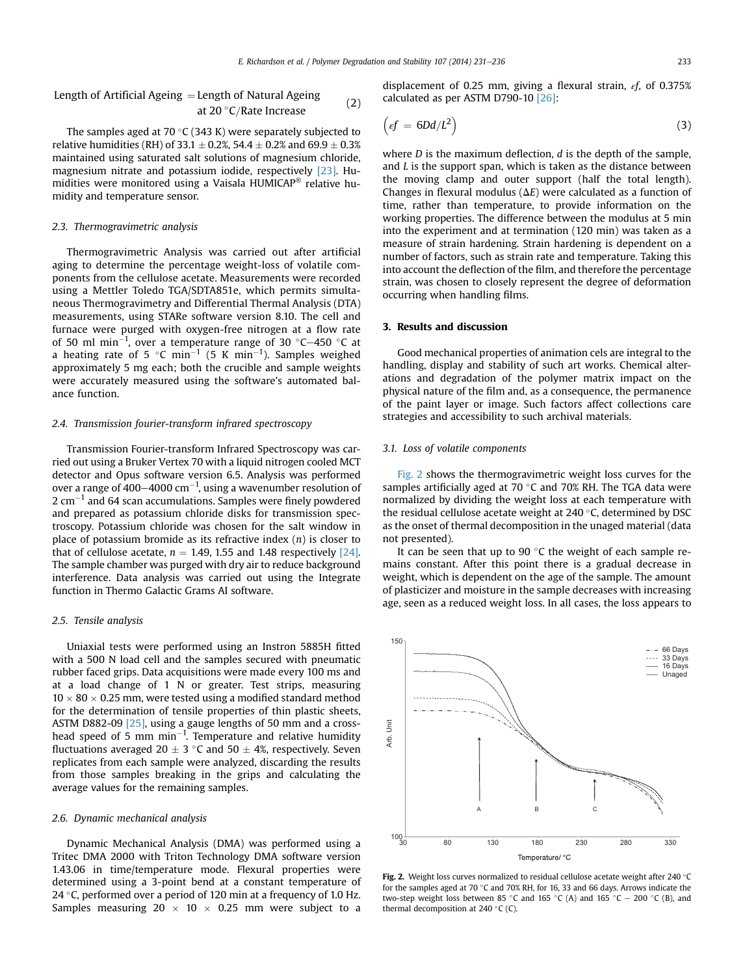Length of Artificial Ageing ¼ Length of Natural Ageing at 20 -<sup>C</sup>=Rate Increase (2)

The samples aged at 70 °C (343 K) were separately subjected to relative humidities (RH) of 33.1  $\pm$  0.2%, 54.4  $\pm$  0.2% and 69.9  $\pm$  0.3% maintained using saturated salt solutions of magnesium chloride, magnesium nitrate and potassium iodide, respectively [\[23\]](#page-5-0). Humidities were monitored using a Vaisala HUMICAP® relative humidity and temperature sensor.

#### 2.3. Thermogravimetric analysis

Thermogravimetric Analysis was carried out after artificial aging to determine the percentage weight-loss of volatile components from the cellulose acetate. Measurements were recorded using a Mettler Toledo TGA/SDTA851e, which permits simultaneous Thermogravimetry and Differential Thermal Analysis (DTA) measurements, using STARe software version 8.10. The cell and furnace were purged with oxygen-free nitrogen at a flow rate of 50 ml min $^{-1}$ , over a temperature range of 30 °C–450 °C at a heating rate of 5  $^{\circ}$ C min<sup>-1</sup> (5 K min<sup>-1</sup>). Samples weighed approximately 5 mg each; both the crucible and sample weights were accurately measured using the software's automated balance function.

### 2.4. Transmission fourier-transform infrared spectroscopy

Transmission Fourier-transform Infrared Spectroscopy was carried out using a Bruker Vertex 70 with a liquid nitrogen cooled MCT detector and Opus software version 6.5. Analysis was performed over a range of 400–4000 cm $^{-1}$ , using a wavenumber resolution of  $2 \text{ cm}^{-1}$  and 64 scan accumulations. Samples were finely powdered and prepared as potassium chloride disks for transmission spectroscopy. Potassium chloride was chosen for the salt window in place of potassium bromide as its refractive index  $(n)$  is closer to that of cellulose acetate,  $n = 1.49, 1.55$  and 1.48 respectively [\[24\].](#page-5-0) The sample chamber was purged with dry air to reduce background interference. Data analysis was carried out using the Integrate function in Thermo Galactic Grams AI software.

#### 2.5. Tensile analysis

Uniaxial tests were performed using an Instron 5885H fitted with a 500 N load cell and the samples secured with pneumatic rubber faced grips. Data acquisitions were made every 100 ms and at a load change of 1 N or greater. Test strips, measuring  $10 \times 80 \times 0.25$  mm, were tested using a modified standard method for the determination of tensile properties of thin plastic sheets, ASTM D882-09 [\[25\],](#page-5-0) using a gauge lengths of 50 mm and a crosshead speed of 5 mm  $min^{-1}$ . Temperature and relative humidity fluctuations averaged 20  $\pm$  3 °C and 50  $\pm$  4%, respectively. Seven replicates from each sample were analyzed, discarding the results from those samples breaking in the grips and calculating the average values for the remaining samples.

#### 2.6. Dynamic mechanical analysis

Dynamic Mechanical Analysis (DMA) was performed using a Tritec DMA 2000 with Triton Technology DMA software version 1.43.06 in time/temperature mode. Flexural properties were determined using a 3-point bend at a constant temperature of 24 °C, performed over a period of 120 min at a frequency of 1.0 Hz. Samples measuring  $20 \times 10 \times 0.25$  mm were subject to a

displacement of 0.25 mm, giving a flexural strain,  $\epsilon$ f, of 0.375% calculated as per ASTM D790-10 [\[26\]](#page-5-0):

$$
\left(\varepsilon f = 6Dd/L^2\right) \tag{3}
$$

where  $D$  is the maximum deflection,  $d$  is the depth of the sample, and  $L$  is the support span, which is taken as the distance between the moving clamp and outer support (half the total length). Changes in flexural modulus ( $\Delta E$ ) were calculated as a function of time, rather than temperature, to provide information on the working properties. The difference between the modulus at 5 min into the experiment and at termination (120 min) was taken as a measure of strain hardening. Strain hardening is dependent on a number of factors, such as strain rate and temperature. Taking this into account the deflection of the film, and therefore the percentage strain, was chosen to closely represent the degree of deformation occurring when handling films.

# 3. Results and discussion

Good mechanical properties of animation cels are integral to the handling, display and stability of such art works. Chemical alterations and degradation of the polymer matrix impact on the physical nature of the film and, as a consequence, the permanence of the paint layer or image. Such factors affect collections care strategies and accessibility to such archival materials.

# 3.1. Loss of volatile components

Fig. 2 shows the thermogravimetric weight loss curves for the samples artificially aged at 70 $\degree$ C and 70% RH. The TGA data were normalized by dividing the weight loss at each temperature with the residual cellulose acetate weight at 240  $\degree$ C, determined by DSC as the onset of thermal decomposition in the unaged material (data not presented).

It can be seen that up to 90  $\degree$ C the weight of each sample remains constant. After this point there is a gradual decrease in weight, which is dependent on the age of the sample. The amount of plasticizer and moisture in the sample decreases with increasing age, seen as a reduced weight loss. In all cases, the loss appears to



**Fig. 2.** Weight loss curves normalized to residual cellulose acetate weight after 240  $\degree$ C for the samples aged at 70  $\degree$ C and 70% RH, for 16, 33 and 66 days. Arrows indicate the two-step weight loss between 85 °C and 165 °C (A) and 165 °C  $-$  200 °C (B), and thermal decomposition at 240  $\degree$ C (C).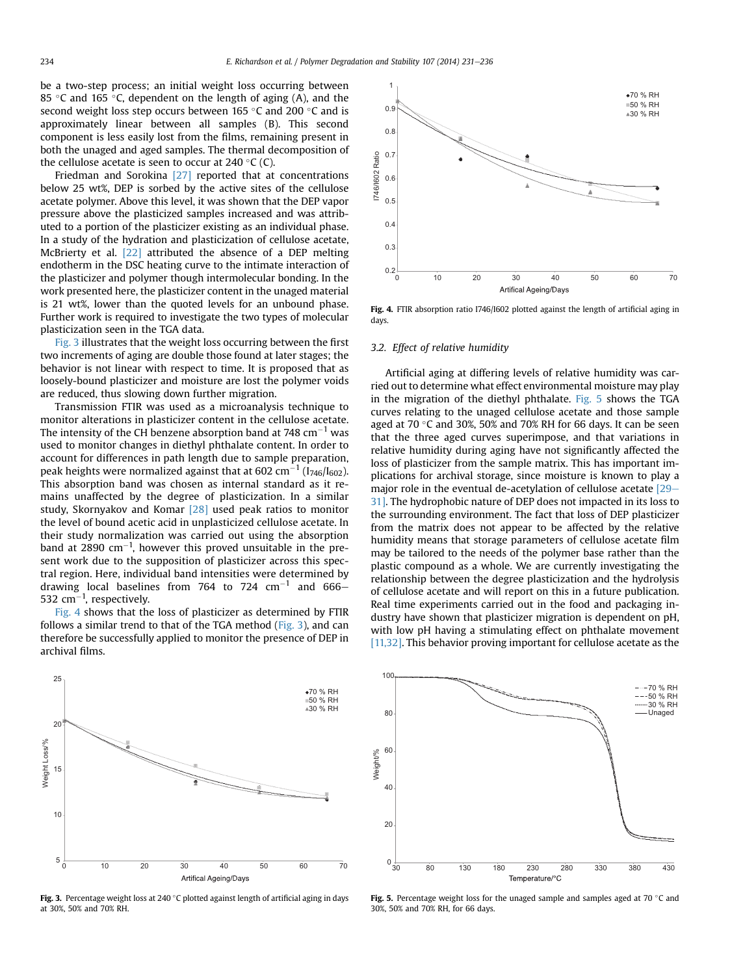be a two-step process; an initial weight loss occurring between 85 °C and 165 °C, dependent on the length of aging (A), and the second weight loss step occurs between 165 °C and 200 °C and is approximately linear between all samples (B). This second component is less easily lost from the films, remaining present in both the unaged and aged samples. The thermal decomposition of the cellulose acetate is seen to occur at 240 °C (C).

Friedman and Sorokina [\[27\]](#page-5-0) reported that at concentrations below 25 wt%, DEP is sorbed by the active sites of the cellulose acetate polymer. Above this level, it was shown that the DEP vapor pressure above the plasticized samples increased and was attributed to a portion of the plasticizer existing as an individual phase. In a study of the hydration and plasticization of cellulose acetate, McBrierty et al. [\[22\]](#page-5-0) attributed the absence of a DEP melting endotherm in the DSC heating curve to the intimate interaction of the plasticizer and polymer though intermolecular bonding. In the work presented here, the plasticizer content in the unaged material is 21 wt%, lower than the quoted levels for an unbound phase. Further work is required to investigate the two types of molecular plasticization seen in the TGA data.

Fig. 3 illustrates that the weight loss occurring between the first two increments of aging are double those found at later stages; the behavior is not linear with respect to time. It is proposed that as loosely-bound plasticizer and moisture are lost the polymer voids are reduced, thus slowing down further migration.

Transmission FTIR was used as a microanalysis technique to monitor alterations in plasticizer content in the cellulose acetate. The intensity of the CH benzene absorption band at 748  $cm^{-1}$  was used to monitor changes in diethyl phthalate content. In order to account for differences in path length due to sample preparation, peak heights were normalized against that at 602 cm<sup>-1</sup> ( $I<sub>746</sub>/I<sub>602</sub>$ ). This absorption band was chosen as internal standard as it remains unaffected by the degree of plasticization. In a similar study, Skornyakov and Komar [\[28\]](#page-5-0) used peak ratios to monitor the level of bound acetic acid in unplasticized cellulose acetate. In their study normalization was carried out using the absorption band at 2890  $cm^{-1}$ , however this proved unsuitable in the present work due to the supposition of plasticizer across this spectral region. Here, individual band intensities were determined by drawing local baselines from 764 to 724  $cm^{-1}$  and 666-532  $\rm cm^{-1}$ , respectively.

Fig. 4 shows that the loss of plasticizer as determined by FTIR follows a similar trend to that of the TGA method (Fig. 3), and can therefore be successfully applied to monitor the presence of DEP in archival films.



Fig. 3. Percentage weight loss at 240  $\degree$ C plotted against length of artificial aging in days at 30%, 50% and 70% RH.



Fig. 4. FTIR absorption ratio I746/I602 plotted against the length of artificial aging in days.

#### 3.2. Effect of relative humidity

Artificial aging at differing levels of relative humidity was carried out to determine what effect environmental moisture may play in the migration of the diethyl phthalate. Fig. 5 shows the TGA curves relating to the unaged cellulose acetate and those sample aged at 70  $\degree$ C and 30%, 50% and 70% RH for 66 days. It can be seen that the three aged curves superimpose, and that variations in relative humidity during aging have not significantly affected the loss of plasticizer from the sample matrix. This has important implications for archival storage, since moisture is known to play a major role in the eventual de-acetylation of cellulose acetate  $[29 [29-$ [31\].](#page-5-0) The hydrophobic nature of DEP does not impacted in its loss to the surrounding environment. The fact that loss of DEP plasticizer from the matrix does not appear to be affected by the relative humidity means that storage parameters of cellulose acetate film may be tailored to the needs of the polymer base rather than the plastic compound as a whole. We are currently investigating the relationship between the degree plasticization and the hydrolysis of cellulose acetate and will report on this in a future publication. Real time experiments carried out in the food and packaging industry have shown that plasticizer migration is dependent on pH, with low pH having a stimulating effect on phthalate movement [\[11,32\]](#page-5-0). This behavior proving important for cellulose acetate as the



**Fig. 5.** Percentage weight loss for the unaged sample and samples aged at 70  $\degree$ C and 30%, 50% and 70% RH, for 66 days.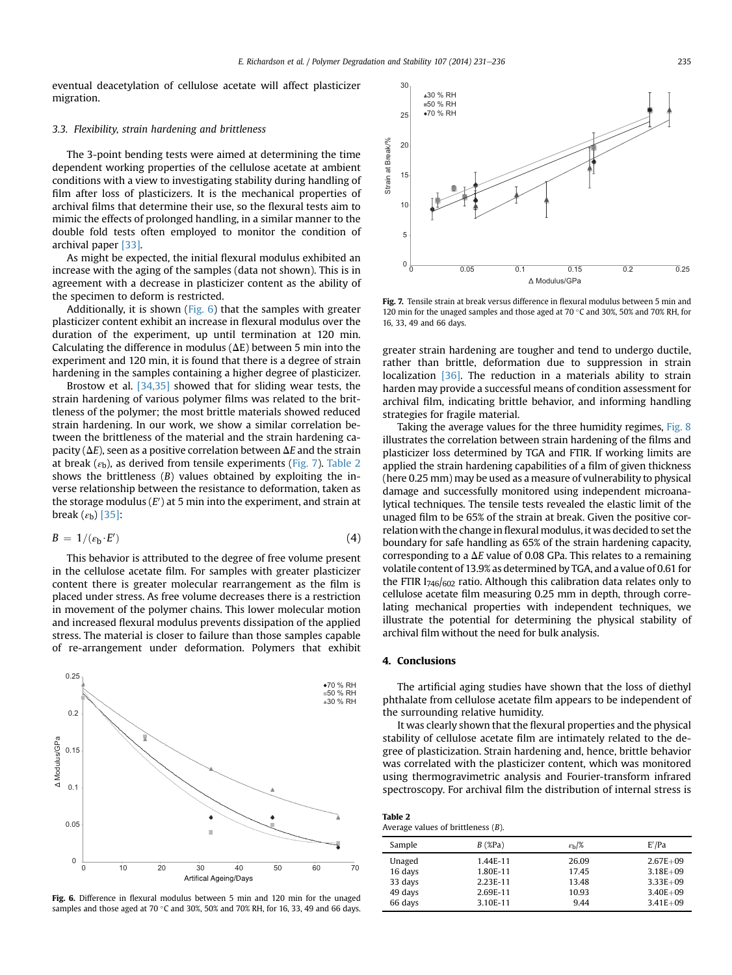eventual deacetylation of cellulose acetate will affect plasticizer migration.

### 3.3. Flexibility, strain hardening and brittleness

The 3-point bending tests were aimed at determining the time dependent working properties of the cellulose acetate at ambient conditions with a view to investigating stability during handling of film after loss of plasticizers. It is the mechanical properties of archival films that determine their use, so the flexural tests aim to mimic the effects of prolonged handling, in a similar manner to the double fold tests often employed to monitor the condition of archival paper [\[33\]](#page-5-0).

As might be expected, the initial flexural modulus exhibited an increase with the aging of the samples (data not shown). This is in agreement with a decrease in plasticizer content as the ability of the specimen to deform is restricted.

Additionally, it is shown (Fig. 6) that the samples with greater plasticizer content exhibit an increase in flexural modulus over the duration of the experiment, up until termination at 120 min. Calculating the difference in modulus ( $\Delta E$ ) between 5 min into the experiment and 120 min, it is found that there is a degree of strain hardening in the samples containing a higher degree of plasticizer.

Brostow et al. [\[34,35\]](#page-5-0) showed that for sliding wear tests, the strain hardening of various polymer films was related to the brittleness of the polymer; the most brittle materials showed reduced strain hardening. In our work, we show a similar correlation between the brittleness of the material and the strain hardening capacity ( $\Delta E$ ), seen as a positive correlation between  $\Delta E$  and the strain at break ( $\varepsilon$ <sub>b</sub>), as derived from tensile experiments (Fig. 7). Table 2 shows the brittleness  $(B)$  values obtained by exploiting the inverse relationship between the resistance to deformation, taken as the storage modulus ( $E'$ ) at 5 min into the experiment, and strain at break  $(\varepsilon_{\rm b})$  [\[35\]](#page-5-0):

$$
B = 1/(\varepsilon_{\mathbf{b}} \cdot E') \tag{4}
$$

This behavior is attributed to the degree of free volume present in the cellulose acetate film. For samples with greater plasticizer content there is greater molecular rearrangement as the film is placed under stress. As free volume decreases there is a restriction in movement of the polymer chains. This lower molecular motion and increased flexural modulus prevents dissipation of the applied stress. The material is closer to failure than those samples capable of re-arrangement under deformation. Polymers that exhibit



Fig. 6. Difference in flexural modulus between 5 min and 120 min for the unaged samples and those aged at 70 °C and 30%, 50% and 70% RH, for 16, 33, 49 and 66 days.



Fig. 7. Tensile strain at break versus difference in flexural modulus between 5 min and 120 min for the unaged samples and those aged at 70  $\degree$ C and 30%, 50% and 70% RH, for 16, 33, 49 and 66 days.

greater strain hardening are tougher and tend to undergo ductile, rather than brittle, deformation due to suppression in strain localization [\[36\].](#page-5-0) The reduction in a materials ability to strain harden may provide a successful means of condition assessment for archival film, indicating brittle behavior, and informing handling strategies for fragile material.

Taking the average values for the three humidity regimes, [Fig. 8](#page-5-0) illustrates the correlation between strain hardening of the films and plasticizer loss determined by TGA and FTIR. If working limits are applied the strain hardening capabilities of a film of given thickness (here 0.25 mm) may be used as a measure of vulnerability to physical damage and successfully monitored using independent microanalytical techniques. The tensile tests revealed the elastic limit of the unaged film to be 65% of the strain at break. Given the positive correlationwith the change in flexural modulus, it was decided to set the boundary for safe handling as 65% of the strain hardening capacity, corresponding to a  $\Delta E$  value of 0.08 GPa. This relates to a remaining volatile content of 13.9% as determined by TGA, and a value of 0.61 for the FTIR I746/602 ratio. Although this calibration data relates only to cellulose acetate film measuring 0.25 mm in depth, through correlating mechanical properties with independent techniques, we illustrate the potential for determining the physical stability of archival film without the need for bulk analysis.

#### 4. Conclusions

Table 2

The artificial aging studies have shown that the loss of diethyl phthalate from cellulose acetate film appears to be independent of the surrounding relative humidity.

It was clearly shown that the flexural properties and the physical stability of cellulose acetate film are intimately related to the degree of plasticization. Strain hardening and, hence, brittle behavior was correlated with the plasticizer content, which was monitored using thermogravimetric analysis and Fourier-transform infrared spectroscopy. For archival film the distribution of internal stress is

| Table 2 |  |                                       |  |
|---------|--|---------------------------------------|--|
|         |  | Average values of brittleness $(B)$ . |  |

| Sample  | $B$ (%Pa) | $\varepsilon_{\rm h}/\%$ | E'/Pa        |
|---------|-----------|--------------------------|--------------|
| Unaged  | 1.44E-11  | 26.09                    | $2.67E + 09$ |
| 16 days | 1.80E-11  | 17.45                    | $3.18E + 09$ |
| 33 days | 2.23E-11  | 13.48                    | $3.33E + 09$ |
| 49 days | 2.69E-11  | 10.93                    | $3.40E + 09$ |
| 66 days | 3.10E-11  | 9.44                     | $3.41E + 09$ |